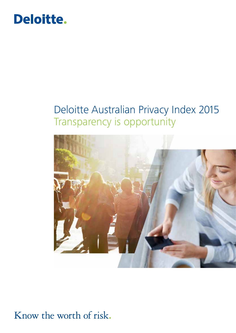

### Deloitte Australian Privacy Index 2015 Transparency is opportunity



### Know the worth of risk.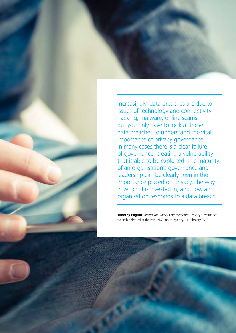Increasingly, data breaches are due to issues of technology and connectivity – hacking, malware, online scams. But you only have to look at these data breaches to understand the vital importance of privacy governance. In many cases there is a clear failure of governance, creating a vulnerability that is able to be exploited. The maturity of an organisation's governance and leadership can be clearly seen in the importance placed on privacy, the way in which it is invested in, and how an organisation responds to a data breach.

**Timothy Pilgrim,** *Australian Privacy Commissioner*, 'Privacy Governance' (Speech delivered at the iAPP ANZ Forum, Sydney, 11 February 2015)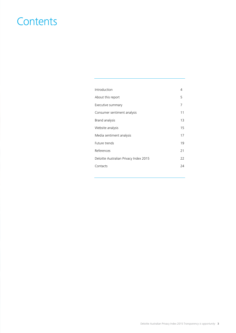### **Contents**

| Introduction                           | 4  |
|----------------------------------------|----|
| About this report                      | 5  |
| Executive summary                      | 7  |
| Consumer sentiment analysis            | 11 |
| Brand analysis                         | 13 |
| Website analysis                       | 15 |
| Media sentiment analysis               | 17 |
| Future trends                          |    |
| References                             | 21 |
| Deloitte Australian Privacy Index 2015 | 22 |
| Contacts                               | 24 |
|                                        |    |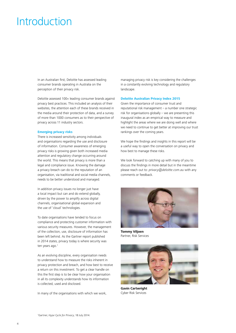### Introduction

In an Australian first, Deloitte has assessed leading consumer brands operating in Australia on the perception of their privacy risk.

Deloitte assessed 100+ leading consumer brands against privacy best practices. This included an analysis of their websites, the attention each of these brands received in the media around their protection of data, and a survey of more than 1000 consumers as to their perspective of privacy across 11 industry sectors.

### **Emerging privacy risks**

There is increased sensitivity among individuals and organisations regarding the use and disclosure of information. Consumer awareness of emerging privacy risks is growing given both increased media attention and regulatory change occurring around the world. This means that privacy is more than a legal and compliance issue. Knowing the damage a privacy breach can do to the reputation of an organisation, via traditional and social media channels, needs to be better understood and managed.

In addition privacy issues no longer just have a local impact but can and do extend globally, driven by the power to amplify across digital channels, organisational global expansion and the use of 'cloud' technologies.

To date organisations have tended to focus on compliance and protecting customer information with various security measures. However, the management of the collection, use, disclosure of information has been left behind. As the Gartner report published in 2014 states, privacy today is where security was ten years ago.<sup>1</sup>

As an evolving discipline, every organisation needs to understand how to measure the risks inherent in privacy protection and breach, and how best to receive a return on this investment. To get a clear handle on this the first step is to be clear how your organisation in all its complexity understands how its information is collected, used and disclosed.

In many of the organisations with which we work,

managing privacy risk is key considering the challenges in a constantly evolving technology and regulatory landscape.

#### **Deloitte Australian Privacy Index 2015**

Given the importance of consumer trust and reputational risk management – a number one strategic risk for organisations globally – we are presenting this inaugural index as an empirical way to measure and highlight the areas where we are doing well and where we need to continue to get better at improving our trust rankings over the coming years.

We hope the findings and insights in this report will be a useful way to open the conversation on privacy and how best to manage these risks.

We look forward to catching up with many of you to discuss the findings in more detail but in the meantime please reach out to: *privacy@deloitte.com.au* with any comments or feedback.



**Tommy Viljoen** Partner, Risk Services



**Gavin Cartwright** Cyber Risk Services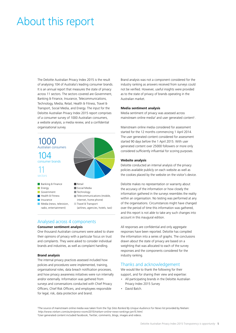### About this report

The Deloitte Australian Privacy Index 2015 is the result of analysing 104 of Australia's leading consumer brands. It is an annual report that measures the state of privacy across 11 sectors. The sectors covered are Government, Banking & Finance, Insurance, Telecommunications, Technology, Media, Retail, Health & Fitness, Travel & Transport, Social Media, and Energy. The input for the Deloitte Australian Privacy Index 2015 report comprises of a consumer survey of 1000 Australian consumers, a website analysis, a media review, and a confidential organisational survey.



### Analysed across 4 components

### **Consumer sentiment analysis**

One thousand Australian consumers were asked to share their opinions of privacy with a particular focus on trust and complaints. They were asked to consider individual brands and industries, as well as complaint handling.

#### **Brand analysis**

The internal privacy practices assessed included how policies and procedures were implemented, training, organisational roles, data breach notification processes, and how privacy awareness initiatives were run internally and/or externally. Information was gathered from surveys and conversations conducted with Chief Privacy Officers, Chief Risk Officers, and employees responsible for legal, risk, data protection and brand.

Brand analysis was not a component considered for the industry ranking as answers received from surveys could not be verified. However, useful insights were provided as to the state of privacy of brands operating in the Australian market.

#### **Media sentiment analysis**

Media sentiment of privacy was assessed across mainstream online media<sup>2</sup> and user generated content<sup>3</sup>.

Mainstream online media considered for assessment started for the 12 months commencing 1 April 2014. The user generated content considered for assessment started 90 days before the 1 April 2015. With user generated content over 25000 followers or more only considered sufficiently influential for scoring purposes.

### **Website analysis**

Deloitte conducted an internal analysis of the privacy policies available publicly on each website as well as the cookies placed by the website on the visitor's device.

Deloitte makes no representation or warranty about the accuracy of the information or how closely the information gathered in the surveys resembles the reality within an organisation. No testing was performed at any of the organisations. Circumstances might have changed over the period of time this information was gathered, and this report is not able to take any such changes into account in this inaugural edition.

All responses are confidential and only aggregate responses have been reported. Deloitte has compiled the information into a series of graphs. The conclusions drawn about the state of privacy are based on a weighting that was allocated to each of the survey responses and the components considered for the industry ranking.

### Thanks and acknowledgement

We would like to thank the following for their support, and for sharing their view and expertise:

- All participating brands in the Deloitte Australian Privacy Index 2015 Survey
- David Batch.

2 The source of mainstream online media was taken from the *Top Sites Ranked By Unique Audience For News* list provided by Nielsen: *http://www.nielsen.com/au/en/press-room/2015/nielsen-online-news-rankings-jan15.html.* <sup>3</sup>User generated content included Facebook, Twitter, comments, blogs, images and videos.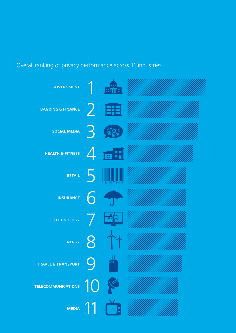### Overall ranking of privacy performance across 11 industries

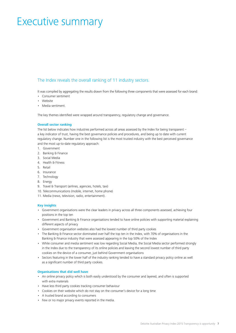### Executive summary

### The Index reveals the overall ranking of 11 industry sectors.

It was compiled by aggregating the results drawn from the following three components that were assessed for each brand:

- Consumer sentiment
- Website
- Media sentiment.

The key themes identified were wrapped around transparency, regulatory change and governance.

### **Overall sector ranking**

The list below indicates how industries performed across all areas assessed by the Index for being transparent – a key indicator of trust, having the best governance policies and procedures, and being up to date with current regulatory change. Number one in the following list is the most trusted industry with the best perceived governance and the most up-to-date regulatory approach:

- 1. Government
- 2. Banking & Finance
- 3. Social Media
- 4. Health & Fitness
- 5. Retail
- 6. Insurance
- 7. Technology
- 8. Energy
- 9. Travel & Transport (airlines, agencies, hotels, taxi)
- 10. Telecommunications (mobile, internet, home phone)
- 11. Media (news, television, radio, entertainment).

### **Key insights**

- Government organisations were the clear leaders in privacy across all three components assessed, achieving four positions in the top ten
- Government and Banking & Finance organisations tended to have online policies with supporting material explaining different aspects of privacy
- Government organisation websites also had the lowest number of third party cookies
- The Banking & Finance sector dominated over half the top ten in the Index, with 70% of organisations in the Banking & Finance industry that were assessed appearing in the top 50% of the Index
- While consumer and media sentiment was low regarding Social Media, the Social Media sector performed strongly in the Index due to the transparency of its online policies and leaving the second lowest number of third party cookies on the device of a consumer, just behind Government organisations
- Sectors featuring in the lower half of the industry ranking tended to have a standard privacy policy online as well as a significant number of third party cookies.

### **Organisations that did well have**

- An online privacy policy which is both easily understood by the consumer and layered, and often is supported with extra materials
- Have less third party cookies tracking consumer behaviour
- Cookies on their website which do not stay on the consumer's device for a long time
- A trusted brand according to consumers
- Few or no major privacy events reported in the media.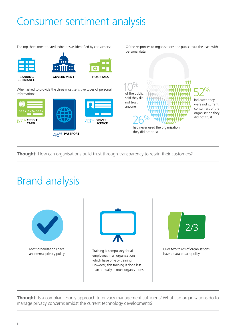# Consumer sentiment analysis

The top three most trusted industries as identified by consumers: <br>
Of the responses to organisations the public trust the least with



When asked to provide the three most sensitive types of personal When asked to provide the three most sensitive types of personal  $\bigcap_{n=1}^{\infty}$  of the public



personal data:

### had never used the organisation they did not trust 26%

said they did not trust anyone

### indicated they were not current consumers of the organisation they 52%

did not trust

**Thought:** How can organisations build trust through transparency to retain their customers?

## Brand analysis



**Thought:** Is a compliance-only approach to privacy management sufficient? What can organisations do to manage privacy concerns amidst the current technology developments?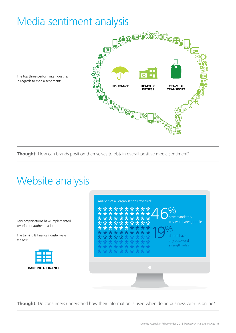## Media sentiment analysis



The top three performing industries in regards to media sentiment:

**Thought:** How can brands position themselves to obtain overall positive media sentiment?

# Website analysis

Few organisations have implemented two-factor authentication.

The Banking & Finance industry were the best.





**Thought:** Do consumers understand how their information is used when doing business with us online?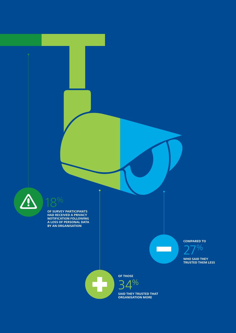

**OF SURVEY PARTICIPANTS HAD RECEIVED A PRIVACY NOTIFICATION FOLLOWING A LOSS OF PERSONAL DATA BY AN ORGANISATION**

18%

**COMPARED TO**

 $\Box$ 

27%

**WHO SAID THEY TRUSTED THEM LESS**



**OF THOSE**   $1\%$ 

**SAID THEY TRUSTED THAT ORGANISATION MORE**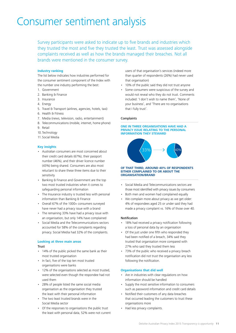### Consumer sentiment analysis

Survey participants were asked to indicate up to five brands and industries which they trusted the most and five they trusted the least. Trust was assessed alongside complaints received as well as how the brands managed their breaches. Not all brands were mentioned in the consumer survey.

### **Industry ranking**

The list below indicates how industries performed for the consumer sentiment component of the Index with the number one industry performing the best:

- 1. Government
- 2. Banking & Finance
- 3. Insurance
- 4. Energy
- 5. Travel & Transport (airlines, agencies, hotels, taxi)
- 6. Health & Fitness
- 7. Media (news, television, radio, entertainment)
- 8. Telecommunications (mobile, internet, home phone)
- 9. Retail
- 10. Technology
- 11. Social Media

### **Key insights**

- Australian consumers are most concerned about their credit card details (67%), their passport number (46%), and their driver licence number (43%) being shared. Consumers are also most reluctant to share these three items due to their sensitivity
- Banking & Finance and Government are the top two most trusted industries when it comes to safeguarding personal information
- The Insurance industry is trusted less with personal information than Banking & Finance
- Overall 67% of the 1000+ consumers surveyed have never had a privacy issue with a brand
- The remaining 33% have had a privacy issue with an organisation, but only 14% have complained
- Social Media and the Telecommunications sectors accounted for 58% of the complaints regarding privacy. Social Media had 32% of the complaints.

#### **Looking at three main areas**

#### **Trust**

- 14% of the public picked the same bank as their most trusted organisation
- In fact, five of the top ten most trusted organisations were banks
- 12% of the organisations selected as most trusted, were selected even though the respondee had not used them
- 28% of people listed the same social media organisation as the organisation they trusted the least with their personal information
- The two least trusted brands were in the Social Media sector
- Of the responses to organisations the public trust the least with personal data, 52% were not current

users of that organisation's services (indeed more than quarter of respondents (26%) had never used that organisation)

- 10% of the public said they did not trust anyone
- Some consumers were suspicious of the survey and would not reveal who they do not trust. Comments included: 'I don't wish to name them', 'None of your business', and 'There are no organisations that I fully trust'.

### Complaints

#### **ONE IN THREE ORGANISATIONS HAVE HAD A PRIVACY ISSUE RELATING TO THE PERSONAL INFORMATION THEY STEWARD**



#### **OF THAT THIRD, AROUND 40% OF RESPONDENTS EITHER COMPLAINED TO OR ABOUT THE ORGANISATION/BRAND**

- Social Media and Telecommunications sectors are those most identified with privacy issues by consumers
- Both men and women had complained equally
- We complain more about privacy as we get older: 4% of respondees aged 25 or under said they had made a privacy complaint vs. 16% of those over 40.

#### Notification

- 18% had received a privacy notification following a loss of personal data by an organisation
- Of the just under one fifth who responded they had been notified of a breach, 34% said they trusted that organisation more compared with 27% who said they trusted them less
- 73% of the public who received a privacy breach notification did not trust the organisation any less following the notification.

### **Organisations that did well**

- Are in industries with clear regulations on how information should be handled
- Supply the most sensitive information to consumers such as password information and credit card details
- Notified their customers of any data breaches that occurred leading the customers to trust these organisations more
- Had less privacy complaints.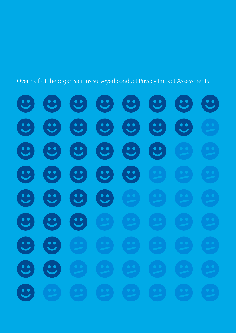Over half of the organisations surveyed conduct Privacy Impact Assessments

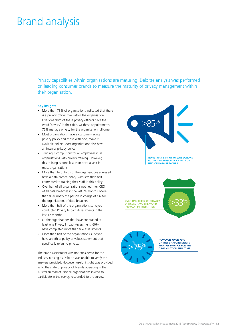## Brand analysis

Privacy capabilities within organisations are maturing. Deloitte analysis was performed on leading consumer brands to measure the maturity of privacy management within their organisation.

### **Key insights**

- More than 75% of organisations indicated that there is a privacy officer role within the organisation. Over one third of these privacy officers have the word 'privacy' in their title. Of these appointments, 75% manage privacy for the organisation full-time
- Most organisations have a customer-facing privacy policy and those with one, make it available online. Most organisations also have an internal privacy policy
- Training is compulsory for all employees in all organisations with privacy training. However, this training is done less than once a year in most organisations
- More than two thirds of the organisations surveyed have a data breach policy, with less than half committed to training their staff in this policy
- Over half of all organisations notified their CEO of all data breaches in the last 24 months. More than 85% notify the person in charge of risk for the organisation, of data breaches
- More than half of the organisations surveyed conducted Privacy Impact Assessments in the last 12 months
- Of the organisations that have conducted at least one Privacy Impact Assessment, 60% have completed more than five assessments
- More than half of the organisations surveyed have an ethics policy or values statement that specifically refers to privacy.

The brand assessment was not considered for the industry ranking as Deloitte was unable to verify the answers provided. However, useful insight was provided as to the state of privacy of brands operating in the Australian market. Not all organisations invited to participate in the survey, responded to the survey.



**MORE THAN 85% OF ORGANISATIONS NOTIFY THE PERSON IN CHARGE OF RISK, OF DATA BREACHES**

**OVER ONE THIRD OF PRIVACY OFFICERS HAVE THE WORD 'PRIVACY' IN THEIR TITLE**





**HOWEVER, OVER 75%**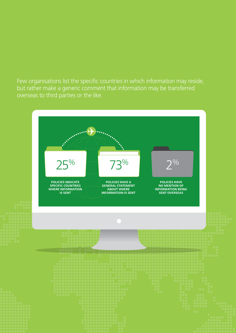Few organisations list the specific countries in which information may reside, but rather make a generic comment that information may be transferred overseas to third parties or the like.

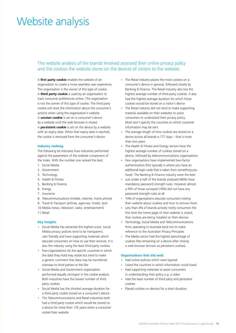### Website analysis

### The website analysis of the brands involved assessed their online privacy policy and the cookies the website stores on the devices of visitors to the website.

A **first party cookie** enables the website of an organisation to create a more seamless user experience. The organisation is the owner of this type of cookie. A **third party cookie** is used by an organisation to track consumer preferences online. The organisation is not the owner of this type of cookie. The third party cookie will store the information about the consumer's actions when using the organisation's website. A **session cookie** is set on a consumer's device by a website until the web browser is closed. A **persistent cookie** is set on the device by a website with an expiry date. When that expiry date is reached, the cookie is removed from the consumer's device.

#### **Industry ranking**

The following list indicates how industries performed against the parameters of the website component of the Index. With the number one ranked the best:

- 1. Social Media
- 2. Government
- 3. Technology
- 4. Health & Fitness
- 5. Banking & Finance
- 6. Energy
- 7. Insurance
- 8. Telecommunications (mobile, internet, home phone)
- 9. Travel & Transport (airlines, agencies, hotels, taxi)
- 10.Media (news, television, radio, entertainment)
- 11. Retail

### **Key insights**

- Social Media has attracted the highest score. Social Media privacy policies tend to be transparent, user friendly and have supporting materials which educate consumers on how to use their services. It is also the industry using the least third party cookies
- Few organisations list the specific countries in which the data they hold may reside but tend to make a generic comment that data may be transferred overseas to third parties or the like
- Social Media and Government organisation performed equally strongest in the cookie analysis. Both industries have the lowest number of third party cookies
- Social Media has the shortest average duration for a third party cookie stored on a consumer's device
- The Telecommunications and Retail industries both had a third party cookie which would be stored on a device for more than 135 years when a consumer visited their website
- The Retail industry places the most cookies on a consumer's device in general, followed closely by Banking & Finance. The Retail industry also has the highest average number of third party cookies. It also had the highest average duration for which those cookies would be stored on a visitor's device
- The Retail industry did not tend to make supporting material available on their websites to assist consumers to understand their privacy policy. Most don't specify the countries to which customer information may be sent
- The average length of time cookies are stored on a device across all brands is 777 days – that is more than two years
- The Health & Fitness and Energy sectors have the highest average number of cookies stored on a device, followed by telecommunications organisations
- Few organisations have implemented two-factor authentication (this typically is where you have an additional login code that is taken from something you have). The Banking & Finance industry were the best
- Just under a half of the brands analysed (46%) have mandatory password strength rules. However almost a fifth of those surveyed (19%) did not have any password strength rules at all
- 74% of organisations educate consumers visiting their website about cookies and how to remove them
- Less than 4% of brands actively notify consumers the first time the home page of their website is visited, that cookies are being installed on their devices
- Technology, Social Media and Telecommunications firms operating in Australia tend not to make reference to the Australian Privacy Principles
- The Media sector had the highest percentage of cookies files remaining on a device after closing a web browser (known as persistent cookies).

#### **Organisations that did well:**

- Had online policies which were layered
- Listed the countries in which information could travel
- Had supporting materials to assist consumers in understanding their policy e.g. a video
- Had the least number of third party and persistent cookies
- Placed cookies on devices for a short duration.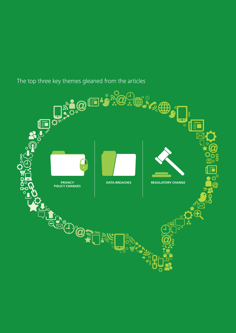

The top three key themes gleaned from the articles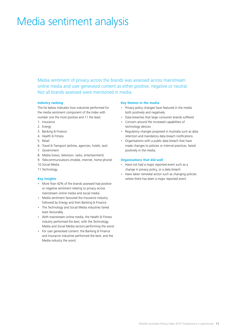## Media sentiment analysis

Media sentiment of privacy across the brands was assessed across mainstream online media and user generated content as either positive, negative or neutral. Not all brands assessed were mentioned in media.

### **Industry ranking**

The list below indicates how industries performed for the media sentiment component of the Index with number one the most positive and 11 the least:

- 1. Insurance
- 2. Energy
- 3. Banking & Finance
- 4. Health & Fitness
- 5. Retail
- 6. Travel & Transport (airlines, agencies, hotels, taxi)
- 7. Government
- 8. Media (news, television, radio, entertainment)
- 9. Telecommunications (mobile, internet, home phone)
- 10.Social Media
- 11.Technology.

### **Key insights**

- More than 42% of the brands assessed had positive or negative sentiment relating to privacy across mainstream online media and social media
- Media sentiment favoured the Insurance industry followed by Energy and then Banking & Finance
- The Technology and Social Media industries faired least favourably
- With mainstream online media, the Health & Fitness industry performed the best, with the Technology, Media and Social Media sectors performing the worst
- For user generated content: the Banking & Finance and Insurance industries performed the best, and the Media industry the worst.

### **Key themes in the media**

- Privacy policy changes have featured in the media both positively and negatively
- Data breaches that large consumer brands suffered
- Concern around the increased capabilities of technology devices
- Regulatory changes proposed in Australia such as data retention and mandatory data breach notifications
- Organisations with a public data breach that have made changes to policies or internal practices, faired positively in the media.

### **Organisations that did well**

- Have not had a major reported event such as a change in privacy policy, or a data breach
- Have taken remedial action such as changing policies where there has been a major reported event.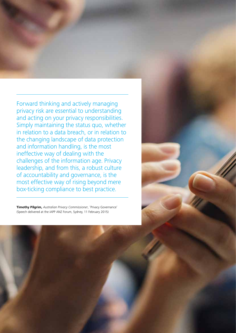Forward thinking and actively managing privacy risk are essential to understanding and acting on your privacy responsibilities. Simply maintaining the status quo, whether in relation to a data breach, or in relation to the changing landscape of data protection and information handling, is the most ineffective way of dealing with the challenges of the information age. Privacy leadership, and from this, a robust culture of accountability and governance, is the most effective way of rising beyond mere box-ticking compliance to best practice.

**Timothy Pilgrim,** *Australian Privacy Commissioner*, 'Privacy Governance' (Speech delivered at the iAPP ANZ Forum, Sydney, 11 February 2015)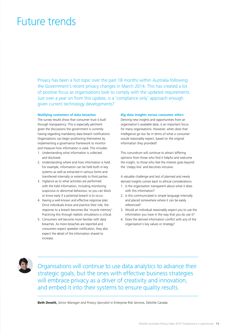### Future trends

Privacy has been a hot topic over the past 18 months within Australia following the Government's recent privacy changes in March 2014. This has created a lot of positive focus as organisations look to comply with the updated requirements. Just over a year on from this update, is a 'compliance only' approach enough given current technology developments?

### **Notifying customers of data breaches**

The survey results show that consumer trust is built through transparency. This is especially pertinent given the discussions the government is currently having regarding mandatory data breach notifications. Organisations can begin positioning themselves by implementing a governance framework to monitor and measure how information is used. This includes:

- 1. Understanding what information is collected and disclosed.
- 2. Understanding where and how information is held. For example, information can be held both in key systems as well as extracted in various forms and transferred internally or externally to third parties.
- 3. Vigilance as to what activities are performed with the held information, including monitoring suspicious or abnormal behaviour, so you can block or know early if a potential breach is to occur.
- 4. Having a well-known and effective response plan. Once individuals know and practice their role, the response to a breach becomes like 'muscle memory'. Practicing this through realistic simulations is critical.
- 5. Consumers will become more familiar with data breaches. As more breaches are reported and consumers expect speedier notification, they also expect the detail of the information shared to increase.

#### **Big data insights versus consumer ethics**

Deriving new insights and opportunities from an organisation's available data, is an important focus for many organisations. However, when does that intelligence go too far in terms of what a consumer would reasonably expect, based on the original information they provided?

This conundrum will continue to attract differing opinions from those who find it helpful and welcome the insight, to those who feel the interest goes beyond the 'creepy line' and becomes intrusive.

A valuable challenge and test of planned and newly derived insights comes back to ethical considerations.

- 1. Is the organisation transparent about what it does with this information?
- 2. Is this communicated in simple language internally and placed somewhere where it can be easily referenced?
- 3. Would an individual reasonably expect you to use the information you have in the way that you do use it?
- 4. Does the derived information conflict with any of the organisation's key values or strategy?



Organisations will continue to use data analytics to advance their strategic goals, but the ones with effective business strategies will embrace privacy as a driver of creativity and innovation, and embed it into their systems to ensure quality results.

**Beth Dewitt,** *Senior Manager and Privacy Specialist* in Enterprise Risk Services, Deloitte Canada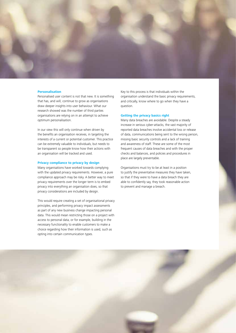

#### **Personalisation**

Personalised user content is not that new. It is something that has, and will, continue to grow as organisations draw deeper insights into user behaviour. What our research showed was the number of third parties organisations are relying on in an attempt to achieve optimum personalisation.

In our view this will only continue when driven by the benefits an organisation receives, in targeting the interests of a current or potential customer. This practice can be extremely valuable to individuals, but needs to be transparent so people know how their actions with an organisation will be tracked and used.

#### **Privacy compliance to privacy by design**

Many organisations have worked towards complying with the updated privacy requirements. However, a pure compliance approach may be risky. A better way to meet privacy requirements over the longer term is to embed privacy into everything an organisation does, so that privacy considerations are included by design.

This would require creating a set of organisational privacy principles, and performing privacy impact assessments as part of any new business change impacting personal data. This would mean restricting those on a project with access to personal data, or for example, building in the necessary functionality to enable customers to make a choice regarding how their information is used, such as opting into certain communication types.

Key to this process is that individuals within the organisation understand the basic privacy requirements, and critically, know where to go when they have a question.

#### **Getting the privacy basics right**

Many data breaches are avoidable. Despite a steady increase in serious cyber-attacks, the vast majority of reported data breaches involve accidental loss or release of data, communications being sent to the wrong person, missing basic security controls and a lack of training and awareness of staff. These are some of the most frequent causes of data breaches and with the proper checks and balances, and policies and procedures in place are largely preventable.

Organisations must try to be at least in a position to justify the preventative measures they have taken, so that if they were to have a data breach they are able to confidently say, they took reasonable action to prevent and manage a breach.

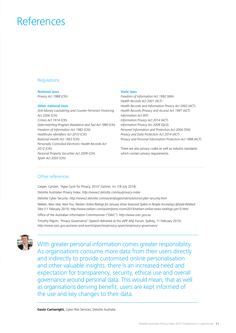## References

### **Regulations**

**National laws** *Privacy Act 1988* (Cth)

### **Other national laws**

*Anti-Money Laundering and Counter-Terrorism Financing Act 2006* (Cth) *Crimes Act 1914* (Cth) *Data-matching Program (Assistance and Tax) Act 1990* (Cth) *Freedom of Information Act 1982* (Cth) *Healthcare Identifiers Act 2010* (Cth) *National Health Act 1953* (Cth) *Personally Controlled Electronic Health Records Act 2012* (Cth) *Personal Property Securities Act 2009* (Cth) *Spam Act 2003* (Cth)

### **State laws**

*Freedom of Information Act 1992* (WA) *Health Records Act 2001* (ACT) *Health Records and Information Privacy Act 2002* (ACT) *Health Records (Privacy and Access) Act 1997* (ACT) *Information Act* (NT) *Information Privacy Act 2014* (ACT) *Information Privacy Act 2009* (QLD) *Personal Information and Protection Act 2004* (TAS) *Privacy and Data Protection Act 2014* (ACT) *Privacy and Personal Information Protection Act 1998* (ACT)

There are also privacy codes as well as industry standards which contain privacy requirements.

### Other references

Casper, Carsten, 'Hype Cycle for Privacy, 2014' *Gartner, Inc* (18 July 2014) Deloitte Australian Privacy Index: *http://www2.deloitte.com/au/privacy-index* Deloitte Cyber Security: *http://www2.deloitte.com/au/en/pages/risk/solutions/cyber-security.html* Nielsen, *New Year, New You: Nielsen Online Ratings for January show Seasonal Spikes in People Accessing Lifestyle-Related Sites* (11 February 2015): *http://www.nielsen.com/au/en/press-room/2015/nielsen-online-news-rankings-jan15.html* Office of the Australian Information Commissioner ("OAIC"): *http://www.oaic.gov.au* Timothy Pilgrim, 'Privacy Governance' (Speech delivered at the iAPP ANZ Forum, Sydney, 11 February 2015): *http://www.oaic.gov.au/news-and-events/speeches/privacy-speeches/privacy-governance*



With greater personal information comes greater responsibility. As organisations consume more data from their users directly and indirectly to provide customised online personalisation and other valuable insights, there is an increased need and expectation for transparency, security, ethical use and overall governance around personal data. This would mean, that as well as organisations deriving benefit, users are kept informed of the use and key changes to their data.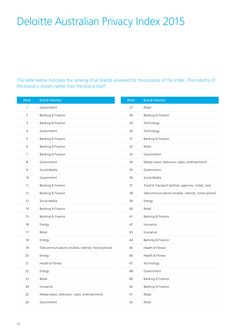# Deloitte Australian Privacy Index 2015

The table below indicates the ranking of all brands assessed for the purpose of the Index. The industry of the brand is shown rather than the brand itself.

| Rank           | <b>Brand industry</b>                             | Rank | <b>Brand industry</b>                                 |
|----------------|---------------------------------------------------|------|-------------------------------------------------------|
| 1              | Government                                        | 27   | Retail                                                |
| $\overline{2}$ | Banking & Finance                                 | 28   | Banking & Finance                                     |
| 3              | Banking & Finance                                 | 29   | Technology                                            |
| 4              | Government                                        | 30   | Technology                                            |
| 5              | Banking & Finance                                 | 31   | Banking & Finance                                     |
| 6              | Banking & Finance                                 | 32   | Retail                                                |
| $\overline{7}$ | Banking & Finance                                 | 33   | Government                                            |
| 8              | Government                                        | 34   | Media (news, television, radio, entertainment)        |
| 9              | Social Media                                      | 35   | Government                                            |
| 10             | Government                                        | 36   | Social Media                                          |
| 11             | Banking & Finance                                 | 37   | Travel & Transport (airlines, agencies, hotels, taxi) |
| 12             | Banking & Finance                                 | 38   | Telecommunications (mobile, internet, home phone)     |
| 13             | Social Media                                      | 39   | Energy                                                |
| 14             | Banking & Finance                                 | 40   | Retail                                                |
| 15             | Banking & Finance                                 | 41   | Banking & Finance                                     |
| 16             | Energy                                            | 42   | Insurance                                             |
| 17             | Retail                                            | 43   | Insurance                                             |
| 18             | Energy                                            | 44   | Banking & Finance                                     |
| 19             | Telecommunications (mobile, internet, home phone) | 45   | Health & Fitness                                      |
| 20             | Energy                                            | 46   | Health & Fitness                                      |
| 21             | Health & Fitness                                  | 47   | Technology                                            |
| 22             | Energy                                            | 48   | Government                                            |
| 23             | Retail                                            | 49   | Banking & Finance                                     |
| 24             | Insurance                                         | 50   | Banking & Finance                                     |
| 25             | Media (news, television, radio, entertainment)    | 51   | Retail                                                |
| 26             | Government                                        | 52   | Retail                                                |
|                |                                                   |      |                                                       |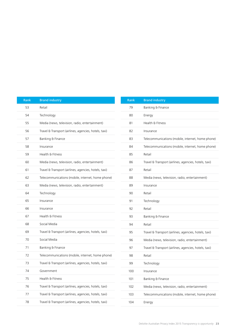| Rank | <b>Brand industry</b>                                 |
|------|-------------------------------------------------------|
| 53   | Retail                                                |
| 54   | Technology                                            |
| 55   | Media (news, television, radio, entertainment)        |
| 56   | Travel & Transport (airlines, agencies, hotels, taxi) |
| 57   | Banking & Finance                                     |
| 58   | Insurance                                             |
| 59   | Health & Fitness                                      |
| 60   | Media (news, television, radio, entertainment)        |
| 61   | Travel & Transport (airlines, agencies, hotels, taxi) |
| 62   | Telecommunications (mobile, internet, home phone)     |
| 63   | Media (news, television, radio, entertainment)        |
| 64   | Technology                                            |
| 65   | Insurance                                             |
| 66   | Insurance                                             |
| 67   | Health & Fitness                                      |
| 68   | Social Media                                          |
| 69   | Travel & Transport (airlines, agencies, hotels, taxi) |
| 70   | Social Media                                          |
| 71   | Banking & Finance                                     |
| 72   | Telecommunications (mobile, internet, home phone)     |
| 73   | Travel & Transport (airlines, agencies, hotels, taxi) |
| 74   | Government                                            |
| 75   | Health & Fitness                                      |
| 76   | Travel & Transport (airlines, agencies, hotels, taxi) |
| 77   | Travel & Transport (airlines, agencies, hotels, taxi) |
| 78   | Travel & Transport (airlines, agencies, hotels, taxi) |

| Rank | <b>Brand industry</b>                                 |
|------|-------------------------------------------------------|
| 79   | Banking & Finance                                     |
| 80   | Energy                                                |
| 81   | Health & Fitness                                      |
| 82   | Insurance                                             |
| 83   | Telecommunications (mobile, internet, home phone)     |
| 84   | Telecommunications (mobile, internet, home phone)     |
| 85   | Retail                                                |
| 86   | Travel & Transport (airlines, agencies, hotels, taxi) |
| 87   | Retail                                                |
| 88   | Media (news, television, radio, entertainment)        |
| 89   | Insurance                                             |
| 90   | Retail                                                |
| 91   | Technology                                            |
| 92   | Retail                                                |
| 93   | Banking & Finance                                     |
| 94   | Retail                                                |
| 95   | Travel & Transport (airlines, agencies, hotels, taxi) |
| 96   | Media (news, television, radio, entertainment)        |
| 97   | Travel & Transport (airlines, agencies, hotels, taxi) |
| 98   | Retail                                                |
| 99   | Technology                                            |
| 100  | Insurance                                             |
| 101  | Banking & Finance                                     |
| 102  | Media (news, television, radio, entertainment)        |
| 103  | Telecommunications (mobile, internet, home phone)     |
| 104  | Energy                                                |